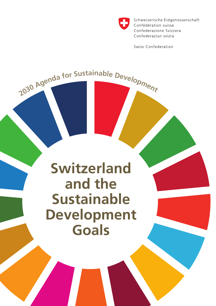

Schweizerische Eidgenossenschaft Confédération suisse Confederazione Svizzera Confederaziun svizra

Swiss Confederation

# **Switzerland and the Sustainable Development Goals**

2030 Agenda for Sustainable Development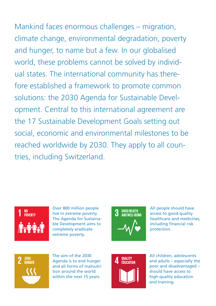Mankind faces enormous challenges – migration, climate change, environmental degradation, poverty and hunger, to name but a few. In our globalised world, these problems cannot be solved by individual states. The international community has therefore established a framework to promote common solutions: the 2030 Agenda for Sustainable Development. Central to this international agreement are the 17 Sustainable Development Goals setting out social, economic and environmental milestones to be reached worldwide by 2030. They apply to all countries, including Switzerland.



Over 800 million people live in extreme poverty. The Agenda for Sustainable Development aims to completely eradicate extreme poverty.



All people should have access to good-quality healthcare and medicines, including financial risk protection.



The aim of the 2030 Agenda is to end hunger and all forms of malnutrition around the world within the next 15 years.



All children, adolescents and adults – especially the poor and disadvantaged – should have access to high-quality education and training.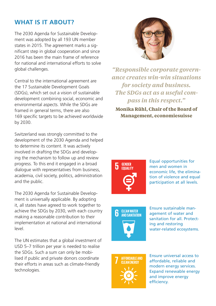### **WHAT IS IT ABOUT?**

The 2030 Agenda for Sustainable Development was adopted by all 193 UN member states in 2015. The agreement marks a significant step in global cooperation and since 2016 has been the main frame of reference for national and international efforts to solve global challenges.

Central to the international agreement are the 17 Sustainable Development Goals (SDGs), which set out a vision of sustainable development combining social, economic and environmental aspects. While the SDGs are framed in general terms, there are also 169 specific targets to be achieved worldwide by 2030.

Switzerland was strongly committed to the development of the 2030 Agenda and helped to determine its content. It was actively involved in drafting the SDGs and developing the mechanism to follow up and review progress. To this end it engaged in a broad dialogue with representatives from business, academia, civil society, politics, administration and the public.

The 2030 Agenda for Sustainable Development is universally applicable. By adopting it, all states have agreed to work together to achieve the SDGs by 2030, with each country making a reasonable contribution to their implementation at national and international level.

The UN estimates that a global investment of USD 5–7 trillion per year is needed to realise the SDGs. Such a sum can only be mobilised if public and private donors coordinate their efforts in areas such as climate-friendly technologies.



*"Responsible corporate governance creates win-win situations for society and business. The SDGs act as a useful compass in this respect."* **Monika Rühl, Chair of the Board of** 

**Management, economiesuisse**



Equal opportunities for men and women in economic life, the elimination of violence and equal participation at all levels.



Ensure sustainable management of water and sanitation for all. Protecting and restoring water-related ecosystems.



Ensure universal access to affordable, reliable and modern energy services. Expand renewable energy and improve energy efficiency.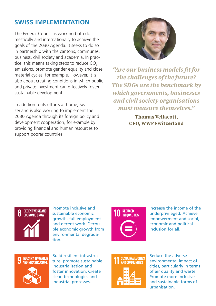## **SWISS IMPLEMENTATION**

The Federal Council is working both domestically and internationally to achieve the goals of the 2030 Agenda. It seeks to do so in partnership with the cantons, communes, business, civil society and academia. In practice, this means taking steps to reduce  $CO<sub>2</sub>$ emissions, promote gender equality and close material cycles, for example. However, it is also about creating conditions in which public and private investment can effectively foster sustainable development.

In addition to its efforts at home, Switzerland is also working to implement the 2030 Agenda through its foreign policy and development cooperation, for example by providing financial and human resources to support poorer countries.



*"Are our business models fit for the challenges of the future? The SDGs are the benchmark by which governments, businesses and civil society organisations must measure themselves."*

> **Thomas Vellacott, CEO, WWF Switzerland**



Promote inclusive and sustainable economic growth, full employment and decent work. Decouple economic growth from environmental degradation.



Increase the income of the underprivileged. Achieve empowerment and social, economic and political inclusion for all.



Build resilient infrastructure, promote sustainable industrialisation and foster innovation. Create clean technologies and industrial processes.



Reduce the adverse environmental impact of cities, particularly in terms of air quality and waste. Promote more inclusive and sustainable forms of urbanisation.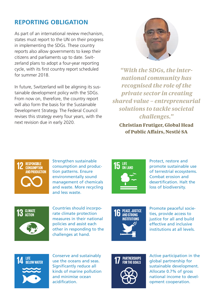## **REPORTING OBLIGATION**

As part of an international review mechanism, states must report to the UN on their progress in implementing the SDGs. These country reports also allow governments to keep their citizens and parliaments up to date. Switzerland plans to adopt a four-year reporting cycle, with its first country report scheduled for summer 2018.

In future, Switzerland will be aligning its sustainable development policy with the SDGs. From now on, therefore, the country report will also form the basis for the Sustainable Development Strategy. The Federal Council revises this strategy every four years, with the next revision due in early 2020.



*"With the SDGs, the international community has recognised the role of the private sector in creating shared value – entrepreneurial solutions to tackle societal challenges."*

**Christian Frutiger, Global Head of Public Affairs, Nestlé SA**



Strengthen sustainable consumption and production patterns. Ensure environmentally sound management of chemicals and waste. More recycling and less waste.



Protect, restore and promote sustainable use of terrestrial ecosystems. Combat erosion and desertification. Halt the loss of biodiversity.



Countries should incorporate climate protection measures in their national policies and assist each other in responding to the challenges at hand.



Promote peaceful societies, provide access to justice for all and build effective and inclusive institutions at all levels.



Conserve and sustainably use the oceans and seas. Significantly reduce all kinds of marine pollution and minimise ocean acidification.



Active participation in the global partnership for sustainable development. Allocate 0.7% of gross national income to development cooperation.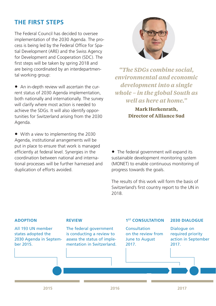### **THE FIRST STEPS**

The Federal Council has decided to oversee implementation of the 2030 Agenda. The process is being led by the Federal Office for Spatial Development (ARE) and the Swiss Agency for Development and Cooperation (SDC). The first steps will be taken by spring 2018 and are being coordinated by an interdepartmental working group:

• An in-depth review will ascertain the current status of 2030 Agenda implementation, both nationally and internationally. The survey will clarify where most action is needed to achieve the SDGs. It will also identify opportunities for Switzerland arising from the 2030 Agenda.

• With a view to implementing the 2030 Agenda, institutional arrangements will be put in place to ensure that work is managed efficiently at federal level. Synergies in the coordination between national and international processes will be further harnessed and duplication of efforts avoided.



*"The SDGs combine social, environmental and economic development into a single whole – in the global South as well as here at home."*

> **Mark Herkenrath, Director of Alliance Sud**

• The federal government will expand its sustainable development monitoring system (MONET) to enable continuous monitoring of progress towards the goals.

The results of this work will form the basis of Switzerland's first country report to the UN in 2018.

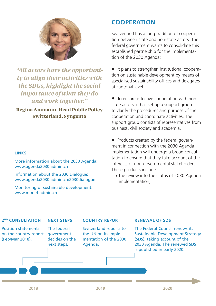

*"All actors have the opportunity to align their activities with the SDGs, highlight the social importance of what they do and work together."*

#### **Regina Ammann, Head Public Policy Switzerland, Syngenta**

#### **LINKS**

[More information about the 2030 Agenda:](http://www.agenda2030.admin.ch)  [www.agenda2030.admin.ch](http://www.agenda2030.admin.ch)

[Information about the 2030 Dialogue:](http://www.agenda2030.admin.ch/2030dialogue) [www.agenda2030.admin.ch/2030dialogue](http://www.agenda2030.admin.ch/2030dialogue)

[Monitoring of sustainable development:](http://www.monet.admin.ch)  [www.monet.admin.ch](http://www.monet.admin.ch)

#### **COOPERATION**

Switzerland has a long tradition of cooperation between state and non-state actors. The federal government wants to consolidate this established partnership for the implementation of the 2030 Agenda:

• It plans to strengthen institutional cooperation on sustainable development by means of specialised sustainability offices and delegates at cantonal level.

• To ensure effective cooperation with nonstate actors, it has set up a support group to clarify the procedures and purpose of the cooperation and coordinate activities. The support group consists of representatives from business, civil society and academia.

• Products created by the federal government in connection with the 2030 Agenda implementation will undergo a broad consultation to ensure that they take account of the interests of non-governmental stakeholders. These products include:

» the review into the status of 2030 Agenda implementation,